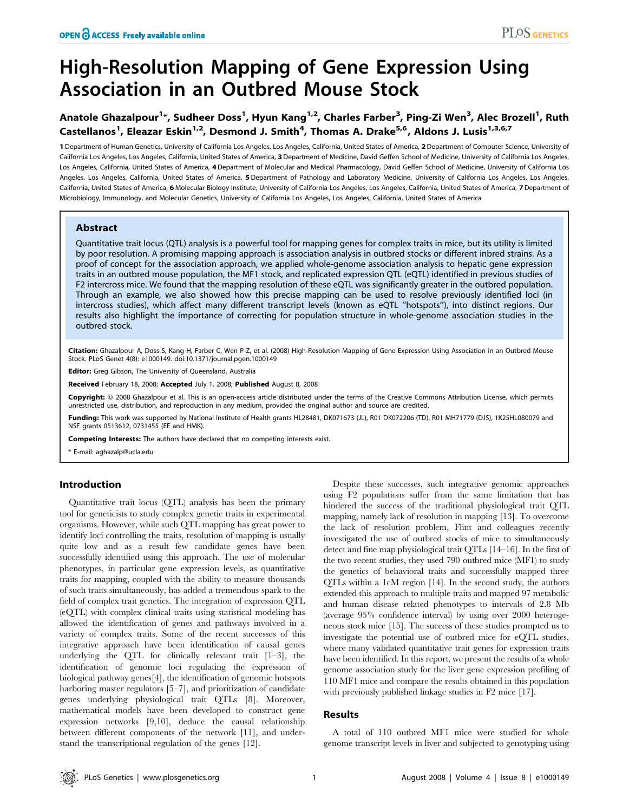# High-Resolution Mapping of Gene Expression Using Association in an Outbred Mouse Stock

# Anatole Ghazalpour<sup>1</sup>\*, Sudheer Doss<sup>1</sup>, Hyun Kang<sup>1,2</sup>, Charles Farber<sup>3</sup>, Ping-Zi Wen<sup>3</sup>, Alec Brozell<sup>1</sup>, Ruth Castellanos<sup>1</sup>, Eleazar Eskin<sup>1,2</sup>, Desmond J. Smith<sup>4</sup>, Thomas A. Drake<sup>5,6</sup>, Aldons J. Lusis<sup>1,3,6,7</sup>

1 Department of Human Genetics, University of California Los Angeles, Los Angeles, California, United States of America, 2Department of Computer Science, University of California Los Angeles, Los Angeles, California, United States of America, 3 Department of Medicine, David Geffen School of Medicine, University of California Los Angeles, Los Angeles, California, United States of America, 4 Department of Molecular and Medical Pharmacology, David Geffen School of Medicine, University of California Los Angeles, Los Angeles, California, United States of America, 5 Department of Pathology and Laboratory Medicine, University of California Los Angeles, Los Angeles, Los Angeles, California, United States of America, 6 Molecular Biology Institute, University of California Los Angeles, Los Angeles, California, United States of America, 7 Department of Microbiology, Immunology, and Molecular Genetics, University of California Los Angeles, Los Angeles, California, United States of America

## Abstract

Quantitative trait locus (QTL) analysis is a powerful tool for mapping genes for complex traits in mice, but its utility is limited by poor resolution. A promising mapping approach is association analysis in outbred stocks or different inbred strains. As a proof of concept for the association approach, we applied whole-genome association analysis to hepatic gene expression traits in an outbred mouse population, the MF1 stock, and replicated expression QTL (eQTL) identified in previous studies of F2 intercross mice. We found that the mapping resolution of these eQTL was significantly greater in the outbred population. Through an example, we also showed how this precise mapping can be used to resolve previously identified loci (in intercross studies), which affect many different transcript levels (known as eQTL ''hotspots''), into distinct regions. Our results also highlight the importance of correcting for population structure in whole-genome association studies in the outbred stock.

Citation: Ghazalpour A, Doss S, Kang H, Farber C, Wen P-Z, et al. (2008) High-Resolution Mapping of Gene Expression Using Association in an Outbred Mouse Stock. PLoS Genet 4(8): e1000149. doi:10.1371/journal.pgen.1000149

Editor: Greg Gibson, The University of Queensland, Australia

Received February 18, 2008; Accepted July 1, 2008; Published August 8, 2008

Copyright: © 2008 Ghazalpour et al. This is an open-access article distributed under the terms of the Creative Commons Attribution License, which permits unrestricted use, distribution, and reproduction in any medium, provided the original author and source are credited.

Funding: This work was supported by National Institute of Health grants HL28481, DK071673 (JL), R01 DK072206 (TD), R01 MH71779 (DJS), 1K25HL080079 and NSF grants 0513612, 0731455 (EE and HMK).

Competing Interests: The authors have declared that no competing interests exist.

\* E-mail: aghazalp@ucla.edu

# Introduction

Quantitative trait locus (QTL) analysis has been the primary tool for geneticists to study complex genetic traits in experimental organisms. However, while such QTL mapping has great power to identify loci controlling the traits, resolution of mapping is usually quite low and as a result few candidate genes have been successfully identified using this approach. The use of molecular phenotypes, in particular gene expression levels, as quantitative traits for mapping, coupled with the ability to measure thousands of such traits simultaneously, has added a tremendous spark to the field of complex trait genetics. The integration of expression QTL (eQTL) with complex clinical traits using statistical modeling has allowed the identification of genes and pathways involved in a variety of complex traits. Some of the recent successes of this integrative approach have been identification of causal genes underlying the QTL for clinically relevant trait [1–3], the identification of genomic loci regulating the expression of biological pathway genes[4], the identification of genomic hotspots harboring master regulators [5–7], and prioritization of candidate genes underlying physiological trait QTLs [8]. Moreover, mathematical models have been developed to construct gene expression networks [9,10], deduce the causal relationship between different components of the network [11], and understand the transcriptional regulation of the genes [12].

Despite these successes, such integrative genomic approaches using F2 populations suffer from the same limitation that has hindered the success of the traditional physiological trait QTL mapping, namely lack of resolution in mapping [13]. To overcome the lack of resolution problem, Flint and colleagues recently investigated the use of outbred stocks of mice to simultaneously detect and fine map physiological trait QTLs [14–16]. In the first of the two recent studies, they used 790 outbred mice (MF1) to study the genetics of behavioral traits and successfully mapped three QTLs within a 1cM region [14]. In the second study, the authors extended this approach to multiple traits and mapped 97 metabolic and human disease related phenotypes to intervals of 2.8 Mb (average 95% confidence interval) by using over 2000 heterogeneous stock mice [15]. The success of these studies prompted us to investigate the potential use of outbred mice for eQTL studies, where many validated quantitative trait genes for expression traits have been identified. In this report, we present the results of a whole genome association study for the liver gene expression profiling of 110 MF1 mice and compare the results obtained in this population with previously published linkage studies in F2 mice [17].

#### Results

A total of 110 outbred MF1 mice were studied for whole genome transcript levels in liver and subjected to genotyping using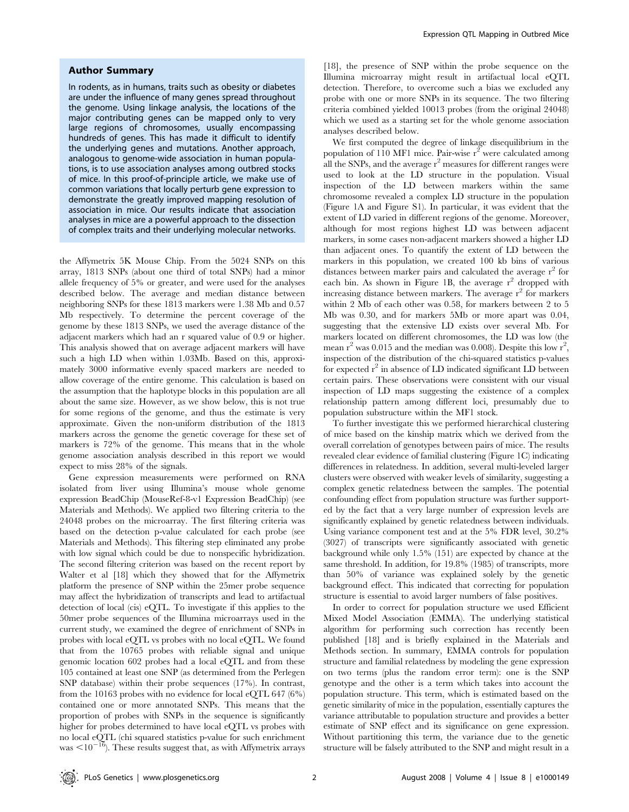#### Author Summary

In rodents, as in humans, traits such as obesity or diabetes are under the influence of many genes spread throughout the genome. Using linkage analysis, the locations of the major contributing genes can be mapped only to very large regions of chromosomes, usually encompassing hundreds of genes. This has made it difficult to identify the underlying genes and mutations. Another approach, analogous to genome-wide association in human populations, is to use association analyses among outbred stocks of mice. In this proof-of-principle article, we make use of common variations that locally perturb gene expression to demonstrate the greatly improved mapping resolution of association in mice. Our results indicate that association analyses in mice are a powerful approach to the dissection of complex traits and their underlying molecular networks.

the Affymetrix 5K Mouse Chip. From the 5024 SNPs on this array, 1813 SNPs (about one third of total SNPs) had a minor allele frequency of 5% or greater, and were used for the analyses described below. The average and median distance between neighboring SNPs for these 1813 markers were 1.38 Mb and 0.57 Mb respectively. To determine the percent coverage of the genome by these 1813 SNPs, we used the average distance of the adjacent markers which had an r squared value of 0.9 or higher. This analysis showed that on average adjacent markers will have such a high LD when within 1.03Mb. Based on this, approximately 3000 informative evenly spaced markers are needed to allow coverage of the entire genome. This calculation is based on the assumption that the haplotype blocks in this population are all about the same size. However, as we show below, this is not true for some regions of the genome, and thus the estimate is very approximate. Given the non-uniform distribution of the 1813 markers across the genome the genetic coverage for these set of markers is 72% of the genome. This means that in the whole genome association analysis described in this report we would expect to miss 28% of the signals.

Gene expression measurements were performed on RNA isolated from liver using Illumina's mouse whole genome expression BeadChip (MouseRef-8-v1 Expression BeadChip) (see Materials and Methods). We applied two filtering criteria to the 24048 probes on the microarray. The first filtering criteria was based on the detection p-value calculated for each probe (see Materials and Methods). This filtering step eliminated any probe with low signal which could be due to nonspecific hybridization. The second filtering criterion was based on the recent report by Walter et al [18] which they showed that for the Affymetrix platform the presence of SNP within the 25mer probe sequence may affect the hybridization of transcripts and lead to artifactual detection of local (cis) eQTL. To investigate if this applies to the 50mer probe sequences of the Illumina microarrays used in the current study, we examined the degree of enrichment of SNPs in probes with local eQTL vs probes with no local eQTL. We found that from the 10765 probes with reliable signal and unique genomic location 602 probes had a local eQTL and from these 105 contained at least one SNP (as determined from the Perlegen SNP database) within their probe sequences (17%). In contrast, from the 10163 probes with no evidence for local eQTL 647 (6%) contained one or more annotated SNPs. This means that the proportion of probes with SNPs in the sequence is significantly higher for probes determined to have local eQTL vs probes with no local eQTL (chi squared statistics p-value for such enrichment was  $\leq 10^{-16}$ ). These results suggest that, as with Affymetrix arrays

[18], the presence of SNP within the probe sequence on the Illumina microarray might result in artifactual local eQTL detection. Therefore, to overcome such a bias we excluded any probe with one or more SNPs in its sequence. The two filtering criteria combined yielded 10013 probes (from the original 24048) which we used as a starting set for the whole genome association analyses described below.

We first computed the degree of linkage disequilibrium in the population of 110 MF1 mice. Pair-wise  $r^2$  were calculated among all the SNPs, and the average  $r^2$  measures for different ranges were used to look at the LD structure in the population. Visual inspection of the LD between markers within the same chromosome revealed a complex LD structure in the population (Figure 1A and Figure S1). In particular, it was evident that the extent of LD varied in different regions of the genome. Moreover, although for most regions highest LD was between adjacent markers, in some cases non-adjacent markers showed a higher LD than adjacent ones. To quantify the extent of LD between the markers in this population, we created 100 kb bins of various distances between marker pairs and calculated the average  $r^2$  for each bin. As shown in Figure 1B, the average  $r^2$  dropped with increasing distance between markers. The average  $r^2$  for markers within 2 Mb of each other was 0.58, for markers between 2 to 5 Mb was 0.30, and for markers 5Mb or more apart was 0.04, suggesting that the extensive LD exists over several Mb. For markers located on different chromosomes, the LD was low (the mean  $r^2$  was 0.015 and the median was 0.008). Despite this low  $r^2$ , inspection of the distribution of the chi-squared statistics p-values for expected  $r^2$  in absence of LD indicated significant LD between certain pairs. These observations were consistent with our visual inspection of LD maps suggesting the existence of a complex relationship pattern among different loci, presumably due to population substructure within the MF1 stock.

To further investigate this we performed hierarchical clustering of mice based on the kinship matrix which we derived from the overall correlation of genotypes between pairs of mice. The results revealed clear evidence of familial clustering (Figure 1C) indicating differences in relatedness. In addition, several multi-leveled larger clusters were observed with weaker levels of similarity, suggesting a complex genetic relatedness between the samples. The potential confounding effect from population structure was further supported by the fact that a very large number of expression levels are significantly explained by genetic relatedness between individuals. Using variance component test and at the 5% FDR level, 30.2% (3027) of transcripts were significantly associated with genetic background while only 1.5% (151) are expected by chance at the same threshold. In addition, for 19.8% (1985) of transcripts, more than 50% of variance was explained solely by the genetic background effect. This indicated that correcting for population structure is essential to avoid larger numbers of false positives.

In order to correct for population structure we used Efficient Mixed Model Association (EMMA). The underlying statistical algorithm for performing such correction has recently been published [18] and is briefly explained in the Materials and Methods section. In summary, EMMA controls for population structure and familial relatedness by modeling the gene expression on two terms (plus the random error term): one is the SNP genotype and the other is a term which takes into account the population structure. This term, which is estimated based on the genetic similarity of mice in the population, essentially captures the variance attributable to population structure and provides a better estimate of SNP effect and its significance on gene expression. Without partitioning this term, the variance due to the genetic structure will be falsely attributed to the SNP and might result in a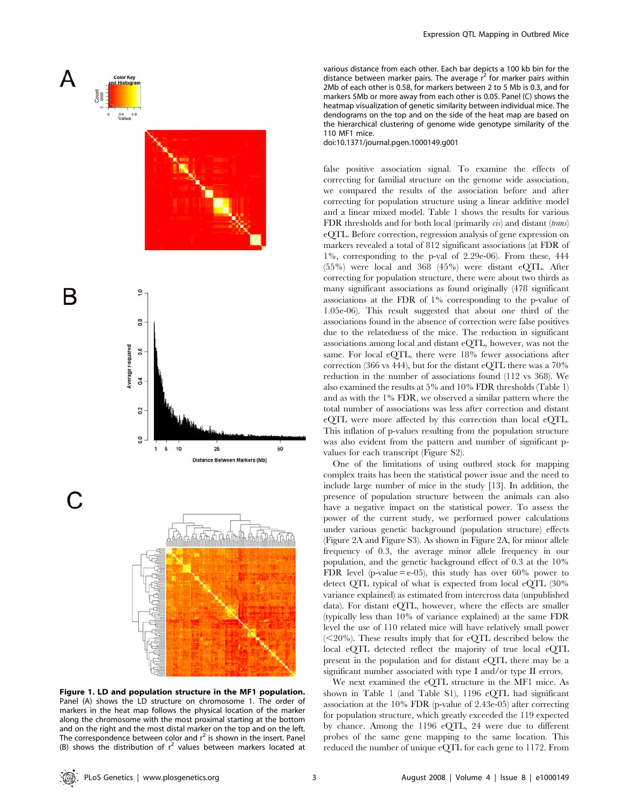







Figure 1. LD and population structure in the MF1 population. Panel (A) shows the LD structure on chromosome 1. The order of markers in the heat map follows the physical location of the marker along the chromosome with the most proximal starting at the bottom and on the right and the most distal marker on the top and on the left. The correspondence between color and  $r^2$  is shown in the insert. Panel (B) shows the distribution of  $r^2$  values between markers located at

various distance from each other. Each bar depicts a 100 kb bin for the distance between marker pairs. The average  $r^2$  for marker pairs within 2Mb of each other is 0.58, for markers between 2 to 5 Mb is 0.3, and for markers 5Mb or more away from each other is 0.05. Panel (C) shows the heatmap visualization of genetic similarity between individual mice. The dendograms on the top and on the side of the heat map are based on the hierarchical clustering of genome wide genotype similarity of the 110 MF1 mice.

doi:10.1371/journal.pgen.1000149.g001

false positive association signal. To examine the effects of correcting for familial structure on the genome wide association, we compared the results of the association before and after correcting for population structure using a linear additive model and a linear mixed model. Table 1 shows the results for various FDR thresholds and for both local (primarily *cis*) and distant (*trans*) eQTL. Before correction, regression analysis of gene expression on markers revealed a total of 812 significant associations (at FDR of 1%, corresponding to the p-val of 2.29e-06). From these, 444 (55%) were local and 368 (45%) were distant eQTL. After correcting for population structure, there were about two thirds as many significant associations as found originally (478 significant associations at the FDR of 1% corresponding to the p-value of 1.05e-06). This result suggested that about one third of the associations found in the absence of correction were false positives due to the relatedness of the mice. The reduction in significant associations among local and distant eQTL, however, was not the same. For local eQTL, there were 18% fewer associations after correction (366 vs 444), but for the distant eQTL there was a 70% reduction in the number of associations found (112 vs 368). We also examined the results at 5% and 10% FDR thresholds (Table 1) and as with the 1% FDR, we observed a similar pattern where the total number of associations was less after correction and distant eQTL were more affected by this correction than local eQTL. This inflation of p-values resulting from the population structure was also evident from the pattern and number of significant pvalues for each transcript (Figure S2).

One of the limitations of using outbred stock for mapping complex traits has been the statistical power issue and the need to include large number of mice in the study [13]. In addition, the presence of population structure between the animals can also have a negative impact on the statistical power. To assess the power of the current study, we performed power calculations under various genetic background (population structure) effects (Figure 2A and Figure S3). As shown in Figure 2A, for minor allele frequency of 0.3, the average minor allele frequency in our population, and the genetic background effect of 0.3 at the 10% FDR level (p-value  $=$  e-05), this study has over 60% power to detect QTL typical of what is expected from local eQTL (30% variance explained) as estimated from intercross data (unpublished data). For distant eQTL, however, where the effects are smaller (typically less than 10% of variance explained) at the same FDR level the use of 110 related mice will have relatively small power  $\approx$  20%). These results imply that for eQTL described below the local eQTL detected reflect the majority of true local eQTL present in the population and for distant eQTL there may be a significant number associated with type I and/or type II errors.

We next examined the eQTL structure in the MF1 mice. As shown in Table 1 (and Table S1), 1196 eQTL had significant association at the 10% FDR (p-value of 2.43e-05) after correcting for population structure, which greatly exceeded the 119 expected by chance. Among the 1196 eQTL, 24 were due to different probes of the same gene mapping to the same location. This reduced the number of unique eQTL for each gene to 1172. From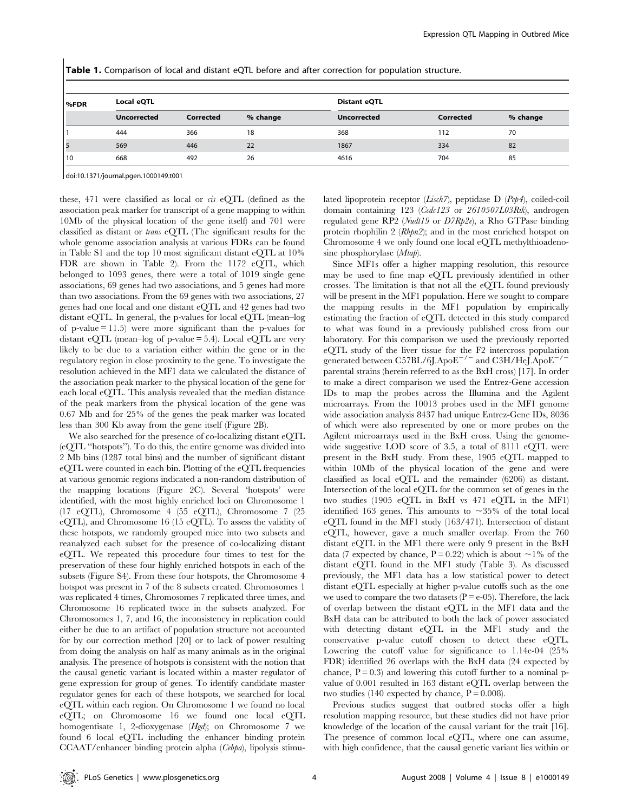Table 1. Comparison of local and distant eQTL before and after correction for population structure.

| l%FDR | Local eQTL         |           |          | <b>Distant eQTL</b> |           |          |
|-------|--------------------|-----------|----------|---------------------|-----------|----------|
|       | <b>Uncorrected</b> | Corrected | % change | <b>Uncorrected</b>  | Corrected | % change |
|       | 444                | 366       | 18       | 368                 | 112       | 70       |
| 5     | 569                | 446       | 22       | 1867                | 334       | 82       |
| 10    | 668                | 492       | 26       | 4616                | 704       | 85       |

doi:10.1371/journal.pgen.1000149.t001

these, 471 were classified as local or cis eQTL (defined as the association peak marker for transcript of a gene mapping to within 10Mb of the physical location of the gene itself) and 701 were classified as distant or trans eQTL (The significant results for the whole genome association analysis at various FDRs can be found in Table S1 and the top 10 most significant distant eQTL at 10% FDR are shown in Table 2). From the 1172 eQTL, which belonged to 1093 genes, there were a total of 1019 single gene associations, 69 genes had two associations, and 5 genes had more than two associations. From the 69 genes with two associations, 27 genes had one local and one distant eQTL and 42 genes had two distant eQTL. In general, the p-values for local eQTL (mean–log of p-value  $= 11.5$ ) were more significant than the p-values for distant eQTL (mean–log of p-value  $=$  5.4). Local eQTL are very likely to be due to a variation either within the gene or in the regulatory region in close proximity to the gene. To investigate the resolution achieved in the MF1 data we calculated the distance of the association peak marker to the physical location of the gene for each local eQTL. This analysis revealed that the median distance of the peak markers from the physical location of the gene was 0.67 Mb and for 25% of the genes the peak marker was located less than 300 Kb away from the gene itself (Figure 2B).

We also searched for the presence of co-localizing distant eQTL (eQTL ''hotspots''). To do this, the entire genome was divided into 2 Mb bins (1287 total bins) and the number of significant distant eQTL were counted in each bin. Plotting of the eQTL frequencies at various genomic regions indicated a non-random distribution of the mapping locations (Figure 2C). Several 'hotspots' were identified, with the most highly enriched loci on Chromosome 1 (17 eQTL), Chromosome 4 (55 eQTL), Chromosome 7 (25 eQTL), and Chromosome 16 (15 eQTL). To assess the validity of these hotspots, we randomly grouped mice into two subsets and reanalyzed each subset for the presence of co-localizing distant eQTL. We repeated this procedure four times to test for the preservation of these four highly enriched hotspots in each of the subsets (Figure S4). From these four hotspots, the Chromosome 4 hotspot was present in 7 of the 8 subsets created. Chromosomes 1 was replicated 4 times, Chromosomes 7 replicated three times, and Chromosome 16 replicated twice in the subsets analyzed. For Chromosomes 1, 7, and 16, the inconsistency in replication could either be due to an artifact of population structure not accounted for by our correction method [20] or to lack of power resulting from doing the analysis on half as many animals as in the original analysis. The presence of hotspots is consistent with the notion that the causal genetic variant is located within a master regulator of gene expression for group of genes. To identify candidate master regulator genes for each of these hotspots, we searched for local eQTL within each region. On Chromosome 1 we found no local eQTL; on Chromosome 16 we found one local eQTL homogentisate 1, 2-dioxygenase (Hgd); on Chromosome 7 we found 6 local eQTL including the enhancer binding protein CCAAT/enhancer binding protein alpha (Cebpa), lipolysis stimulated lipoprotein receptor (Lisch7), peptidase D (Pep4), coiled-coil domain containing 123 (Ccdc123 or 2610507L03Rik), androgen regulated gene RP2 (Nudt19 or D7Rp2e), a Rho GTPase binding protein rhophilin 2 (Rhpn2); and in the most enriched hotspot on Chromosome 4 we only found one local eQTL methylthioadenosine phosphorylase (*Mtap*).

Since MF1s offer a higher mapping resolution, this resource may be used to fine map eQTL previously identified in other crosses. The limitation is that not all the eQTL found previously will be present in the MF1 population. Here we sought to compare the mapping results in the MF1 population by empirically estimating the fraction of eQTL detected in this study compared to what was found in a previously published cross from our laboratory. For this comparison we used the previously reported eQTL study of the liver tissue for the F2 intercross population generated between C57BL/6J.Apo $E^{-/-}$  and C3H/HeJ.Apo $E^{-}$ parental strains (herein referred to as the BxH cross) [17]. In order to make a direct comparison we used the Entrez-Gene accession IDs to map the probes across the Illumina and the Agilent microarrays. From the 10013 probes used in the MF1 genome wide association analysis 8437 had unique Entrez-Gene IDs, 8036 of which were also represented by one or more probes on the Agilent microarrays used in the BxH cross. Using the genomewide suggestive LOD score of 3.5, a total of 8111 eOTL were present in the BxH study. From these, 1905 eQTL mapped to within 10Mb of the physical location of the gene and were classified as local eQTL and the remainder (6206) as distant. Intersection of the local eQTL for the common set of genes in the two studies (1905 eQTL in BxH vs 471 eQTL in the MF1) identified 163 genes. This amounts to  $\sim 35\%$  of the total local eQTL found in the MF1 study (163/471). Intersection of distant eQTL, however, gave a much smaller overlap. From the 760 distant eQTL in the MF1 there were only 9 present in the BxH data (7 expected by chance,  $P = 0.22$ ) which is about  $\sim 1\%$  of the distant eQTL found in the MF1 study (Table 3). As discussed previously, the MF1 data has a low statistical power to detect distant eQTL especially at higher p-value cutoffs such as the one we used to compare the two datasets ( $P = e^{-0.5}$ ). Therefore, the lack of overlap between the distant eQTL in the MF1 data and the BxH data can be attributed to both the lack of power associated with detecting distant eQTL in the MF1 study and the conservative p-value cutoff chosen to detect these eQTL. Lowering the cutoff value for significance to 1.14e-04 (25% FDR) identified 26 overlaps with the BxH data (24 expected by chance,  $P = 0.3$  and lowering this cutoff further to a nominal pvalue of 0.001 resulted in 163 distant eQTL overlap between the two studies (140 expected by chance,  $P = 0.008$ ).

Previous studies suggest that outbred stocks offer a high resolution mapping resource, but these studies did not have prior knowledge of the location of the causal variant for the trait [16]. The presence of common local eQTL, where one can assume, with high confidence, that the causal genetic variant lies within or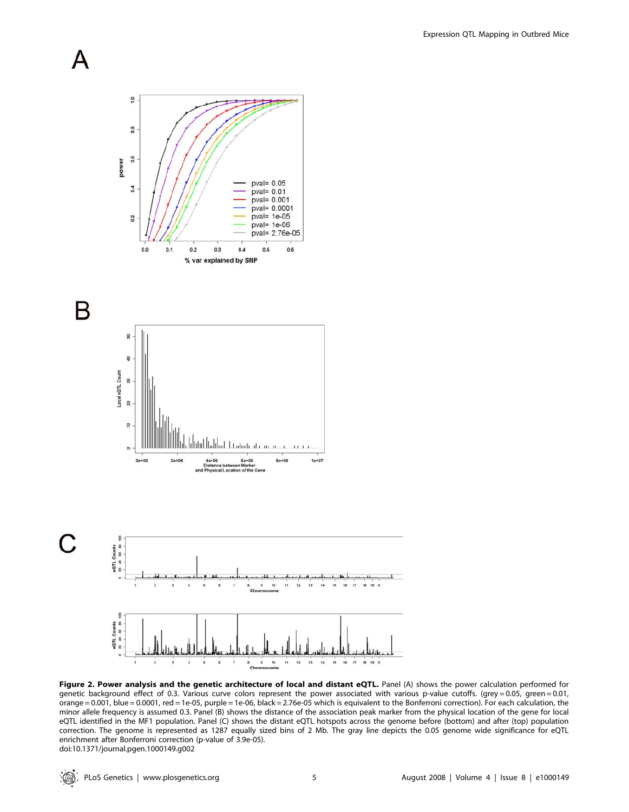





Figure 2. Power analysis and the genetic architecture of local and distant eQTL. Panel (A) shows the power calculation performed for genetic background effect of 0.3. Various curve colors represent the power associated with various p-value cutoffs. (grey = 0.05, green = 0.01, orange = 0.001, blue = 0.0001, red = 1e-05, purple = 1e-06, black = 2.76e-05 which is equivalent to the Bonferroni correction). For each calculation, the minor allele frequency is assumed 0.3. Panel (B) shows the distance of the association peak marker from the physical location of the gene for local eQTL identified in the MF1 population. Panel (C) shows the distant eQTL hotspots across the genome before (bottom) and after (top) population correction. The genome is represented as 1287 equally sized bins of 2 Mb. The gray line depicts the 0.05 genome wide significance for eQTL enrichment after Bonferroni correction (p-value of 3.9e-05). doi:10.1371/journal.pgen.1000149.g002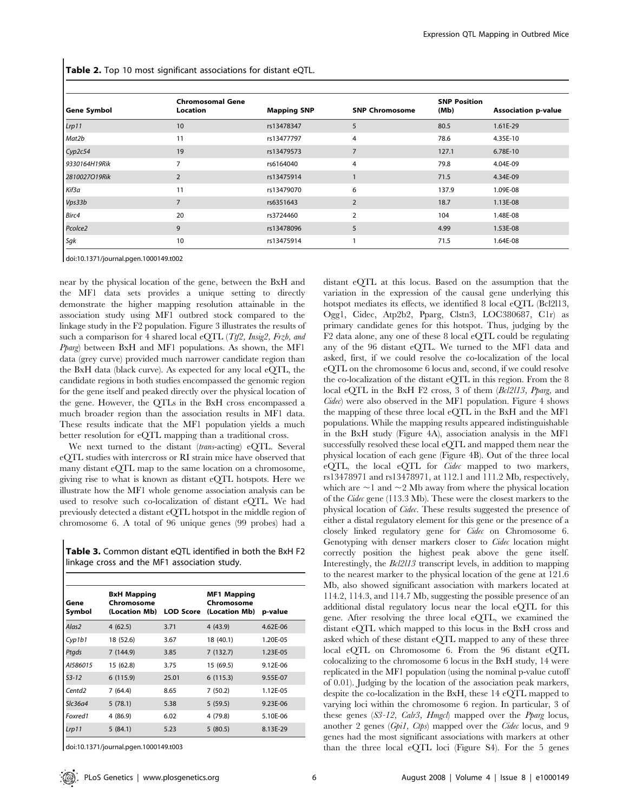Table 2. Top 10 most significant associations for distant eQTL.

| <b>Gene Symbol</b> | <b>Chromosomal Gene</b><br>Location | <b>Mapping SNP</b> | <b>SNP Chromosome</b> | <b>SNP Position</b><br>(Mb) | <b>Association p-value</b> |
|--------------------|-------------------------------------|--------------------|-----------------------|-----------------------------|----------------------------|
| Lrp11              | 10                                  | rs13478347         | 5                     | 80.5                        | 1.61E-29                   |
| Mat2b              | 11                                  | rs13477797         | 4                     | 78.6                        | 4.35E-10                   |
| Cyp2c54            | 19                                  | rs13479573         | 7                     | 127.1                       | 6.78E-10                   |
| 9330164H19Rik      | $\overline{7}$                      | rs6164040          | 4                     | 79.8                        | 4.04E-09                   |
| 2810027O19Rik      | $\overline{2}$                      | rs13475914         |                       | 71.5                        | 4.34E-09                   |
| Kif3a              | 11                                  | rs13479070         | 6                     | 137.9                       | 1.09E-08                   |
| Vps33b             | $\overline{7}$                      | rs6351643          | $\overline{2}$        | 18.7                        | 1.13E-08                   |
| Birc4              | 20                                  | rs3724460          | 2                     | 104                         | 1.48E-08                   |
| Pcolce2            | 9                                   | rs13478096         | 5                     | 4.99                        | 1.53E-08                   |
| Sgk                | 10                                  | rs13475914         |                       | 71.5                        | 1.64E-08                   |

doi:10.1371/journal.pgen.1000149.t002

near by the physical location of the gene, between the BxH and the MF1 data sets provides a unique setting to directly demonstrate the higher mapping resolution attainable in the association study using MF1 outbred stock compared to the linkage study in the F2 population. Figure 3 illustrates the results of such a comparison for 4 shared local eQTL (Ttf2, Insig2, Frzb, and Pparg) between BxH and MF1 populations. As shown, the MF1 data (grey curve) provided much narrower candidate region than the BxH data (black curve). As expected for any local eQTL, the candidate regions in both studies encompassed the genomic region for the gene itself and peaked directly over the physical location of the gene. However, the QTLs in the BxH cross encompassed a much broader region than the association results in MF1 data. These results indicate that the MF1 population yields a much better resolution for eQTL mapping than a traditional cross.

We next turned to the distant (trans-acting) eQTL. Several eQTL studies with intercross or RI strain mice have observed that many distant eQTL map to the same location on a chromosome, giving rise to what is known as distant eQTL hotspots. Here we illustrate how the MF1 whole genome association analysis can be used to resolve such co-localization of distant eQTL. We had previously detected a distant eQTL hotspot in the middle region of chromosome 6. A total of 96 unique genes (99 probes) had a

Table 3. Common distant eQTL identified in both the BxH F2 linkage cross and the MF1 association study.

| Gene<br>Symbol     | <b>BxH Mapping</b><br>Chromosome<br>(Location Mb) | <b>LOD Score</b> | <b>MF1 Mapping</b><br>Chromosome<br>(Location Mb) | p-value  |
|--------------------|---------------------------------------------------|------------------|---------------------------------------------------|----------|
| Alas2              | 4(62.5)                                           | 3.71             | 4(43.9)                                           | 4.62E-06 |
| Cyp1b1             | 18 (52.6)                                         | 3.67             | 18 (40.1)                                         | 1.20E-05 |
| Ptads              | 7(144.9)                                          | 3.85             | 7(132.7)                                          | 1.23E-05 |
| AI586015           | 15 (62.8)                                         | 3.75             | 15 (69.5)                                         | 9.12E-06 |
| $53 - 12$          | 6(115.9)                                          | 25.01            | 6(115.3)                                          | 9.55E-07 |
| Centd <sub>2</sub> | 7(64.4)                                           | 8.65             | 7(50.2)                                           | 1.12E-05 |
| Slc36a4            | 5(78.1)                                           | 5.38             | 5(59.5)                                           | 9.23E-06 |
| Foxred1            | 4 (86.9)                                          | 6.02             | 4 (79.8)                                          | 5.10E-06 |
| Lrp 11             | 5(84.1)                                           | 5.23             | 5(80.5)                                           | 8.13E-29 |

doi:10.1371/journal.pgen.1000149.t003

any of the 96 distant eQTL. We turned to the MF1 data and asked, first, if we could resolve the co-localization of the local eQTL on the chromosome 6 locus and, second, if we could resolve the co-localization of the distant eQTL in this region. From the 8 local eQTL in the BxH F2 cross, 3 of them (Bcl2l13, Pparg, and  $Cidec$ ) were also observed in the MF1 population. Figure 4 shows the mapping of these three local eQTL in the BxH and the MF1 populations. While the mapping results appeared indistinguishable in the BxH study (Figure 4A), association analysis in the MF1 successfully resolved these local eQTL and mapped them near the physical location of each gene (Figure 4B). Out of the three local eQTL, the local eQTL for Cidec mapped to two markers, rs13478971 and rs13478971, at 112.1 and 111.2 Mb, respectively, which are  $\sim$ 1 and  $\sim$ 2 Mb away from where the physical location of the Cidec gene (113.3 Mb). These were the closest markers to the physical location of Cidec. These results suggested the presence of either a distal regulatory element for this gene or the presence of a closely linked regulatory gene for Cidec on Chromosome 6. Genotyping with denser markers closer to Cidec location might correctly position the highest peak above the gene itself. Interestingly, the Bcl2l13 transcript levels, in addition to mapping to the nearest marker to the physical location of the gene at 121.6 Mb, also showed significant association with markers located at 114.2, 114.3, and 114.7 Mb, suggesting the possible presence of an additional distal regulatory locus near the local eQTL for this gene. After resolving the three local eQTL, we examined the distant eQTL which mapped to this locus in the BxH cross and asked which of these distant eQTL mapped to any of these three local eQTL on Chromosome 6. From the 96 distant eQTL colocalizing to the chromosome 6 locus in the BxH study, 14 were replicated in the MF1 population (using the nominal p-value cutoff of 0.01). Judging by the location of the association peak markers, despite the co-localization in the BxH, these 14 eQTL mapped to varying loci within the chromosome 6 region. In particular, 3 of these genes (S3-12, Calr3, Hmgcl) mapped over the Pparg locus, another 2 genes (Gpi1, Ctps) mapped over the Cidec locus, and 9 genes had the most significant associations with markers at other than the three local eQTL loci (Figure S4). For the 5 genes

distant eQTL at this locus. Based on the assumption that the variation in the expression of the causal gene underlying this hotspot mediates its effects, we identified 8 local eQTL (Bcl2l13, Ogg1, Cidec, Atp2b2, Pparg, Clstn3, LOC380687, C1r) as primary candidate genes for this hotspot. Thus, judging by the F2 data alone, any one of these 8 local eQTL could be regulating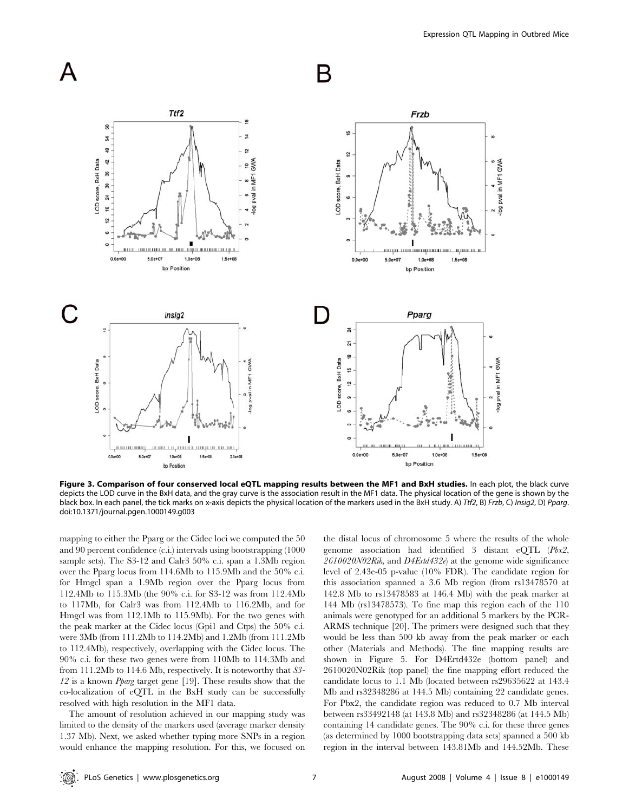

Figure 3. Comparison of four conserved local eQTL mapping results between the MF1 and BxH studies. In each plot, the black curve depicts the LOD curve in the BxH data, and the gray curve is the association result in the MF1 data. The physical location of the gene is shown by the black box. In each panel, the tick marks on x-axis depicts the physical location of the markers used in the BxH study. A) Ttf2, B) Frzb, C) Insig2, D) Pparg. doi:10.1371/journal.pgen.1000149.g003

mapping to either the Pparg or the Cidec loci we computed the 50 and 90 percent confidence (c.i.) intervals using bootstrapping (1000 sample sets). The S3-12 and Calr3 50% c.i. span a 1.3Mb region over the Pparg locus from 114.6Mb to 115.9Mb and the 50% c.i. for Hmgcl span a 1.9Mb region over the Pparg locus from 112.4Mb to 115.3Mb (the 90% c.i. for S3-12 was from 112.4Mb to 117Mb, for Calr3 was from 112.4Mb to 116.2Mb, and for Hmgcl was from 112.1Mb to 115.9Mb). For the two genes with the peak marker at the Cidec locus (Gpi1 and Ctps) the 50% c.i. were 3Mb (from 111.2Mb to 114.2Mb) and 1.2Mb (from 111.2Mb to 112.4Mb), respectively, overlapping with the Cidec locus. The 90% c.i. for these two genes were from 110Mb to 114.3Mb and from 111.2Mb to 114.6 Mb, respectively. It is noteworthy that S3- 12 is a known Pparg target gene [19]. These results show that the co-localization of eQTL in the BxH study can be successfully resolved with high resolution in the MF1 data.

The amount of resolution achieved in our mapping study was limited to the density of the markers used (average marker density 1.37 Mb). Next, we asked whether typing more SNPs in a region would enhance the mapping resolution. For this, we focused on the distal locus of chromosome 5 where the results of the whole genome association had identified 3 distant eQTL (Pbx2, 2610020N02Rik, and D4Ertd432e) at the genome wide significance level of 2.43e-05 p-value (10% FDR). The candidate region for this association spanned a 3.6 Mb region (from rs13478570 at 142.8 Mb to rs13478583 at 146.4 Mb) with the peak marker at 144 Mb (rs13478573). To fine map this region each of the 110 animals were genotyped for an additional 5 markers by the PCR-ARMS technique [20]. The primers were designed such that they would be less than 500 kb away from the peak marker or each other (Materials and Methods). The fine mapping results are shown in Figure 5. For D4Ertd432e (bottom panel) and 2610020N02Rik (top panel) the fine mapping effort reduced the candidate locus to 1.1 Mb (located between rs29635622 at 143.4 Mb and rs32348286 at 144.5 Mb) containing 22 candidate genes. For Pbx2, the candidate region was reduced to 0.7 Mb interval between rs33492148 (at 143.8 Mb) and rs32348286 (at 144.5 Mb) containing 14 candidate genes. The 90% c.i. for these three genes (as determined by 1000 bootstrapping data sets) spanned a 500 kb region in the interval between 143.81Mb and 144.52Mb. These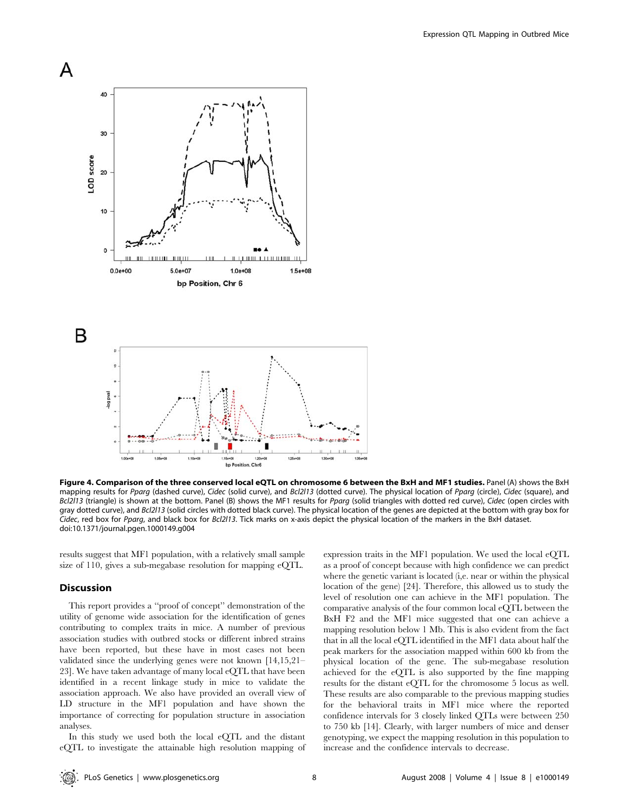

Figure 4. Comparison of the three conserved local eQTL on chromosome 6 between the BxH and MF1 studies. Panel (A) shows the BxH mapping results for Pparg (dashed curve), Cidec (solid curve), and Bcl2l13 (dotted curve). The physical location of Pparg (circle), Cidec (square), and Bcl2l13 (triangle) is shown at the bottom. Panel (B) shows the MF1 results for Pparg (solid triangles with dotted red curve), Cidec (open circles with gray dotted curve), and Bcl2l13 (solid circles with dotted black curve). The physical location of the genes are depicted at the bottom with gray box for Cidec, red box for Pparg, and black box for Bcl2l13. Tick marks on x-axis depict the physical location of the markers in the BxH dataset. doi:10.1371/journal.pgen.1000149.g004

results suggest that MF1 population, with a relatively small sample size of 110, gives a sub-megabase resolution for mapping eQTL.

#### **Discussion**

This report provides a ''proof of concept'' demonstration of the utility of genome wide association for the identification of genes contributing to complex traits in mice. A number of previous association studies with outbred stocks or different inbred strains have been reported, but these have in most cases not been validated since the underlying genes were not known [14,15,21– 23]. We have taken advantage of many local eQTL that have been identified in a recent linkage study in mice to validate the association approach. We also have provided an overall view of LD structure in the MF1 population and have shown the importance of correcting for population structure in association analyses.

In this study we used both the local eQTL and the distant eQTL to investigate the attainable high resolution mapping of expression traits in the MF1 population. We used the local eQTL as a proof of concept because with high confidence we can predict where the genetic variant is located (i,e. near or within the physical location of the gene) [24]. Therefore, this allowed us to study the level of resolution one can achieve in the MF1 population. The comparative analysis of the four common local eQTL between the BxH F2 and the MF1 mice suggested that one can achieve a mapping resolution below 1 Mb. This is also evident from the fact that in all the local eQTL identified in the MF1 data about half the peak markers for the association mapped within 600 kb from the physical location of the gene. The sub-megabase resolution achieved for the eQTL is also supported by the fine mapping results for the distant eQTL for the chromosome 5 locus as well. These results are also comparable to the previous mapping studies for the behavioral traits in MF1 mice where the reported confidence intervals for 3 closely linked QTLs were between 250 to 750 kb [14]. Clearly, with larger numbers of mice and denser genotyping, we expect the mapping resolution in this population to increase and the confidence intervals to decrease.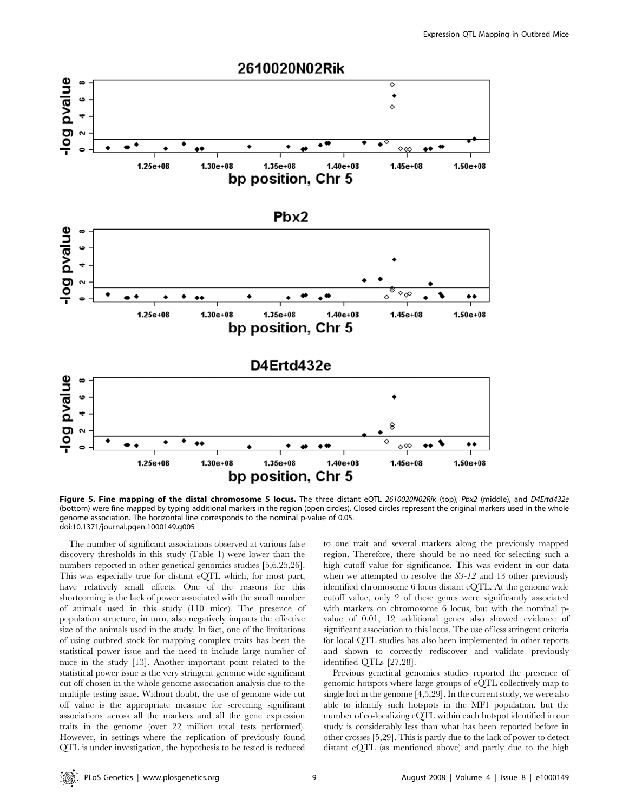

Figure 5. Fine mapping of the distal chromosome 5 locus. The three distant eQTL 2610020N02Rik (top), Pbx2 (middle), and D4Ertd432e (bottom) were fine mapped by typing additional markers in the region (open circles). Closed circles represent the original markers used in the whole genome association. The horizontal line corresponds to the nominal p-value of 0.05. doi:10.1371/journal.pgen.1000149.g005

The number of significant associations observed at various false discovery thresholds in this study (Table 1) were lower than the numbers reported in other genetical genomics studies [5,6,25,26]. This was especially true for distant eQTL which, for most part, have relatively small effects. One of the reasons for this shortcoming is the lack of power associated with the small number of animals used in this study (110 mice). The presence of population structure, in turn, also negatively impacts the effective size of the animals used in the study. In fact, one of the limitations of using outbred stock for mapping complex traits has been the statistical power issue and the need to include large number of mice in the study [13]. Another important point related to the statistical power issue is the very stringent genome wide significant cut off chosen in the whole genome association analysis due to the multiple testing issue. Without doubt, the use of genome wide cut off value is the appropriate measure for screening significant associations across all the markers and all the gene expression traits in the genome (over 22 million total tests performed). However, in settings where the replication of previously found QTL is under investigation, the hypothesis to be tested is reduced to one trait and several markers along the previously mapped region. Therefore, there should be no need for selecting such a high cutoff value for significance. This was evident in our data when we attempted to resolve the  $S3$ -12 and 13 other previously identified chromosome 6 locus distant eQTL. At the genome wide cutoff value, only 2 of these genes were significantly associated with markers on chromosome 6 locus, but with the nominal pvalue of 0.01, 12 additional genes also showed evidence of significant association to this locus. The use of less stringent criteria for local QTL studies has also been implemented in other reports and shown to correctly rediscover and validate previously identified QTLs [27,28].

Previous genetical genomics studies reported the presence of genomic hotspots where large groups of eQTL collectively map to single loci in the genome [4,5,29]. In the current study, we were also able to identify such hotspots in the MF1 population, but the number of co-localizing eQTL within each hotspot identified in our study is considerably less than what has been reported before in other crosses [5,29]. This is partly due to the lack of power to detect distant eQTL (as mentioned above) and partly due to the high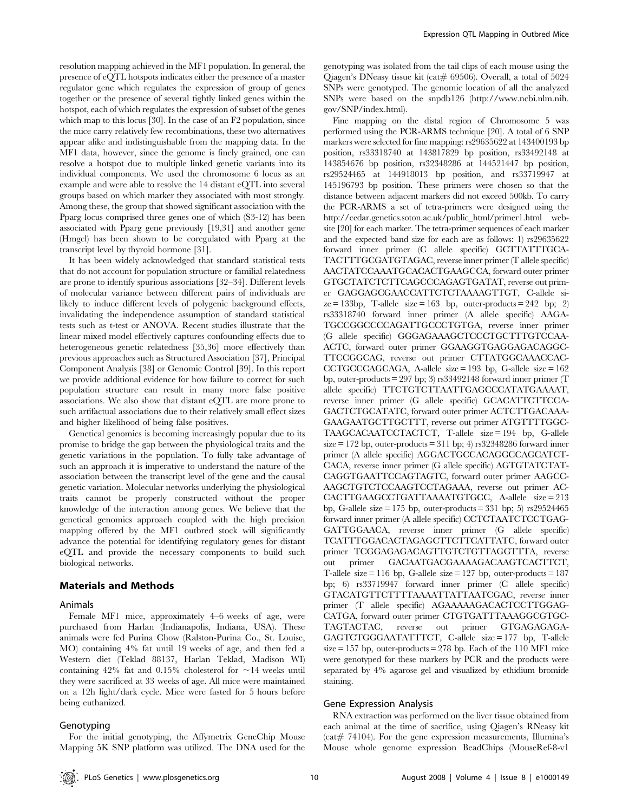resolution mapping achieved in the MF1 population. In general, the presence of eQTL hotspots indicates either the presence of a master regulator gene which regulates the expression of group of genes together or the presence of several tightly linked genes within the hotspot, each of which regulates the expression of subset of the genes which map to this locus [30]. In the case of an F2 population, since the mice carry relatively few recombinations, these two alternatives appear alike and indistinguishable from the mapping data. In the MF1 data, however, since the genome is finely grained, one can resolve a hotspot due to multiple linked genetic variants into its individual components. We used the chromosome 6 locus as an example and were able to resolve the 14 distant eQTL into several groups based on which marker they associated with most strongly. Among these, the group that showed significant association with the Pparg locus comprised three genes one of which (S3-12) has been associated with Pparg gene previously [19,31] and another gene (Hmgcl) has been shown to be coregulated with Pparg at the transcript level by thyroid hormone [31].

It has been widely acknowledged that standard statistical tests that do not account for population structure or familial relatedness are prone to identify spurious associations [32–34]. Different levels of molecular variance between different pairs of individuals are likely to induce different levels of polygenic background effects, invalidating the independence assumption of standard statistical tests such as t-test or ANOVA. Recent studies illustrate that the linear mixed model effectively captures confounding effects due to heterogeneous genetic relatedness [35,36] more effectively than previous approaches such as Structured Association [37], Principal Component Analysis [38] or Genomic Control [39]. In this report we provide additional evidence for how failure to correct for such population structure can result in many more false positive associations. We also show that distant eQTL are more prone to such artifactual associations due to their relatively small effect sizes and higher likelihood of being false positives.

Genetical genomics is becoming increasingly popular due to its promise to bridge the gap between the physiological traits and the genetic variations in the population. To fully take advantage of such an approach it is imperative to understand the nature of the association between the transcript level of the gene and the causal genetic variation. Molecular networks underlying the physiological traits cannot be properly constructed without the proper knowledge of the interaction among genes. We believe that the genetical genomics approach coupled with the high precision mapping offered by the MF1 outbred stock will significantly advance the potential for identifying regulatory genes for distant eQTL and provide the necessary components to build such biological networks.

#### Materials and Methods

#### Animals

Female MF1 mice, approximately 4–6 weeks of age, were purchased from Harlan (Indianapolis, Indiana, USA). These animals were fed Purina Chow (Ralston-Purina Co., St. Louise, MO) containing 4% fat until 19 weeks of age, and then fed a Western diet (Teklad 88137, Harlan Teklad, Madison WI) containing 42% fat and 0.15% cholesterol for  $\sim$  14 weeks until they were sacrificed at 33 weeks of age. All mice were maintained on a 12h light/dark cycle. Mice were fasted for 5 hours before being euthanized.

#### Genotyping

genotyping was isolated from the tail clips of each mouse using the Qiagen's DNeasy tissue kit (cat# 69506). Overall, a total of  $5024$ SNPs were genotyped. The genomic location of all the analyzed SNPs were based on the snpdb126 (http://www.ncbi.nlm.nih. gov/SNP/index.html).

Fine mapping on the distal region of Chromosome 5 was performed using the PCR-ARMS technique [20]. A total of 6 SNP markers were selected for fine mapping: rs29635622 at 143400193 bp position, rs33318740 at 143817829 bp position, rs33492148 at 143854676 bp position, rs32348286 at 144521447 bp position, rs29524465 at 144918013 bp position, and rs33719947 at 145196793 bp position. These primers were chosen so that the distance between adjacent markers did not exceed 500kb. To carry the PCR-ARMS a set of tetra-primers were designed using the http://cedar.genetics.soton.ac.uk/public\_html/primer1.html website [20] for each marker. The tetra-primer sequences of each marker and the expected band size for each are as follows: 1) rs29635622 forward inner primer (C allele specific) GCTTATTTGCA-TACTTTGCGATGTAGAC, reverse inner primer (T allele specific) AACTATCCAAATGCACACTGAAGCCA, forward outer primer GTGCTATCTCTTCAGCCCAGAGTGATAT, reverse out primer GAGGAGCGAACCATTCTCTAAAAGTTGT, C-allele si $ze = 133bp$ , T-allele size = 163 bp, outer-products = 242 bp; 2) rs33318740 forward inner primer (A allele specific) AAGA-TGCCGGCCCCAGATTGCCCTGTGA, reverse inner primer (G allele specific) GGGAGAAAGCTCCCTGCTTTGTCCAA-ACTC, forward outer primer GGAAGGTGAGGAGACAGGC-TTCCGGCAG, reverse out primer CTTATGGCAAACCAC-CCTGCCCAGCAGA, A-allele size = 193 bp, G-allele size = 162 bp, outer-products = 297 bp; 3)  $rs33492148$  forward inner primer (T allele specific) TTCTGTCTTAATTGAGCCCATATGAAAAT, reverse inner primer (G allele specific) GCACATTCTTCCA-GACTCTGCATATC, forward outer primer ACTCTTGACAAA-GAAGAATGCTTGCTTT, reverse out primer ATGTTTTGGC-TAAGCACAATCCTACTCT, T-allele size = 194 bp, G-allele  $size = 172$  bp, outer-products  $= 311$  bp; 4)  $rs32348286$  forward inner primer (A allele specific) AGGACTGCCACAGGCCAGCATCT-CACA, reverse inner primer (G allele specific) AGTGTATCTAT-CAGGTGAATTCCAGTAGTC, forward outer primer AAGCC-AAGCTGTCTCCAAGTCCTAGAAA, reverse out primer AC-CACTTGAAGCCTGATTAAAATGTGCC, A-allele size = 213 bp, G-allele size = 175 bp, outer-products = 331 bp; 5)  $rs29524465$ forward inner primer (A allele specific) CCTCTAATCTCCTGAG-GATTGGAACA, reverse inner primer (G allele specific) TCATTTGGACACTAGAGCTTCTTCATTATC, forward outer primer TCGGAGAGACAGTTGTCTGTTAGGTTTA, reverse out primer GACAATGACGAAAAGACAAGTCACTTCT, T-allele size = 116 bp, G-allele size = 127 bp, outer-products = 187 bp; 6) rs33719947 forward inner primer (C allele specific) GTACATGTTCTTTTAAAATTATTAATCGAC, reverse inner primer (T allele specific) AGAAAAAGACACTCCTTGGAG-CATGA, forward outer primer CTGTGATTTAAAGGCGTGC-TAGTACTAC, reverse out primer GTGAGAGAGA-GAGTCTGGGAATATTTCT, C-allele size = 177 bp, T-allele  $size = 157$  bp, outer-products  $= 278$  bp. Each of the 110 MF1 mice were genotyped for these markers by PCR and the products were separated by 4% agarose gel and visualized by ethidium bromide staining.

# Gene Expression Analysis

RNA extraction was performed on the liver tissue obtained from each animal at the time of sacrifice, using Qiagen's RNeasy kit  $(cat# 74104)$ . For the gene expression measurements, Illumina's Mouse whole genome expression BeadChips (MouseRef-8-v1

For the initial genotyping, the Affymetrix GeneChip Mouse Mapping 5K SNP platform was utilized. The DNA used for the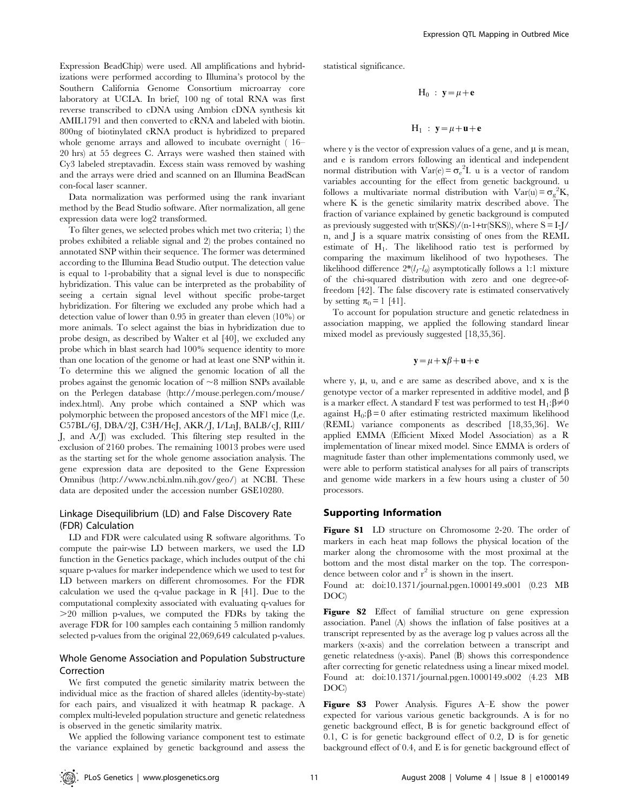Expression BeadChip) were used. All amplifications and hybridizations were performed according to Illumina's protocol by the Southern California Genome Consortium microarray core laboratory at UCLA. In brief, 100 ng of total RNA was first reverse transcribed to cDNA using Ambion cDNA synthesis kit AMIL1791 and then converted to cRNA and labeled with biotin. 800ng of biotinylated cRNA product is hybridized to prepared whole genome arrays and allowed to incubate overnight ( 16– 20 hrs) at 55 degrees C. Arrays were washed then stained with Cy3 labeled streptavadin. Excess stain wass removed by washing and the arrays were dried and scanned on an Illumina BeadScan con-focal laser scanner.

Data normalization was performed using the rank invariant method by the Bead Studio software. After normalization, all gene expression data were log2 transformed.

To filter genes, we selected probes which met two criteria; 1) the probes exhibited a reliable signal and 2) the probes contained no annotated SNP within their sequence. The former was determined according to the Illumina Bead Studio output. The detection value is equal to 1-probability that a signal level is due to nonspecific hybridization. This value can be interpreted as the probability of seeing a certain signal level without specific probe-target hybridization. For filtering we excluded any probe which had a detection value of lower than 0.95 in greater than eleven (10%) or more animals. To select against the bias in hybridization due to probe design, as described by Walter et al [40], we excluded any probe which in blast search had 100% sequence identity to more than one location of the genome or had at least one SNP within it. To determine this we aligned the genomic location of all the probes against the genomic location of  $\sim8$  million SNPs available on the Perlegen database (http://mouse.perlegen.com/mouse/ index.html). Any probe which contained a SNP which was polymorphic between the proposed ancestors of the MF1 mice (I,e. C57BL/6J, DBA/2J, C3H/HeJ, AKR/J, I/LnJ, BALB/cJ, RIII/ J, and A/J) was excluded. This filtering step resulted in the exclusion of 2160 probes. The remaining 10013 probes were used as the starting set for the whole genome association analysis. The gene expression data are deposited to the Gene Expression Omnibus (http://www.ncbi.nlm.nih.gov/geo/) at NCBI. These data are deposited under the accession number GSE10280.

# Linkage Disequilibrium (LD) and False Discovery Rate (FDR) Calculation

LD and FDR were calculated using R software algorithms. To compute the pair-wise LD between markers, we used the LD function in the Genetics package, which includes output of the chi square p-values for marker independence which we used to test for LD between markers on different chromosomes. For the FDR calculation we used the q-value package in R [41]. Due to the computational complexity associated with evaluating q-values for  $>$ 20 million p-values, we computed the FDRs by taking the average FDR for 100 samples each containing 5 million randomly selected p-values from the original 22,069,649 calculated p-values.

## Whole Genome Association and Population Substructure Correction

We first computed the genetic similarity matrix between the individual mice as the fraction of shared alleles (identity-by-state) for each pairs, and visualized it with heatmap R package. A complex multi-leveled population structure and genetic relatedness is observed in the genetic similarity matrix.

We applied the following variance component test to estimate the variance explained by genetic background and assess the statistical significance.

$$
H_0 : y = \mu + e
$$

$$
H_1\ :\ y\!=\!\mu\!+\!u\!+\!e
$$

where y is the vector of expression values of a gene, and  $\mu$  is mean, and e is random errors following an identical and independent normal distribution with  $Var(e) = \sigma_e^2 I$ . u is a vector of random variables accounting for the effect from genetic background. u follows a multivariate normal distribution with  $Var(u) = \sigma_g^2 K$ , where K is the genetic similarity matrix described above. The fraction of variance explained by genetic background is computed as previously suggested with  $tr(SKS)/(n-1+tr(SKS))$ , where  $S = I-I$ n, and J is a square matrix consisting of ones from the REML estimate of H1. The likelihood ratio test is performed by comparing the maximum likelihood of two hypotheses. The likelihood difference  $2*(l_1-l_0)$  asymptotically follows a 1:1 mixture of the chi-squared distribution with zero and one degree-offreedom [42]. The false discovery rate is estimated conservatively by setting  $\pi_0 = 1$  [41].

To account for population structure and genetic relatedness in association mapping, we applied the following standard linear mixed model as previously suggested [18,35,36].

$$
\mathbf{y} = \mu + \mathbf{x}\beta + \mathbf{u} + \mathbf{e}
$$

where y,  $\mu$ , u, and e are same as described above, and x is the genotype vector of a marker represented in additive model, and  $\beta$ is a marker effect. A standard F test was performed to test  $H_1$ : $\beta \neq 0$ against  $H_0: \beta = 0$  after estimating restricted maximum likelihood (REML) variance components as described [18,35,36]. We applied EMMA (Efficient Mixed Model Association) as a R implementation of linear mixed model. Since EMMA is orders of magnitude faster than other implementations commonly used, we were able to perform statistical analyses for all pairs of transcripts and genome wide markers in a few hours using a cluster of 50 processors.

#### Supporting Information

Figure S1 LD structure on Chromosome 2-20. The order of markers in each heat map follows the physical location of the marker along the chromosome with the most proximal at the bottom and the most distal marker on the top. The correspondence between color and  $r^2$  is shown in the insert.

Found at: doi:10.1371/journal.pgen.1000149.s001 (0.23 MB DOC)

Figure S2 Effect of familial structure on gene expression association. Panel (A) shows the inflation of false positives at a transcript represented by as the average log p values across all the markers (x-axis) and the correlation between a transcript and genetic relatedness (y-axis). Panel (B) shows this correspondence after correcting for genetic relatedness using a linear mixed model. Found at: doi:10.1371/journal.pgen.1000149.s002 (4.23 MB DOC)

Figure S3 Power Analysis. Figures A–E show the power expected for various various genetic backgrounds. A is for no genetic background effect, B is for genetic background effect of 0.1, C is for genetic background effect of 0.2, D is for genetic background effect of 0.4, and E is for genetic background effect of